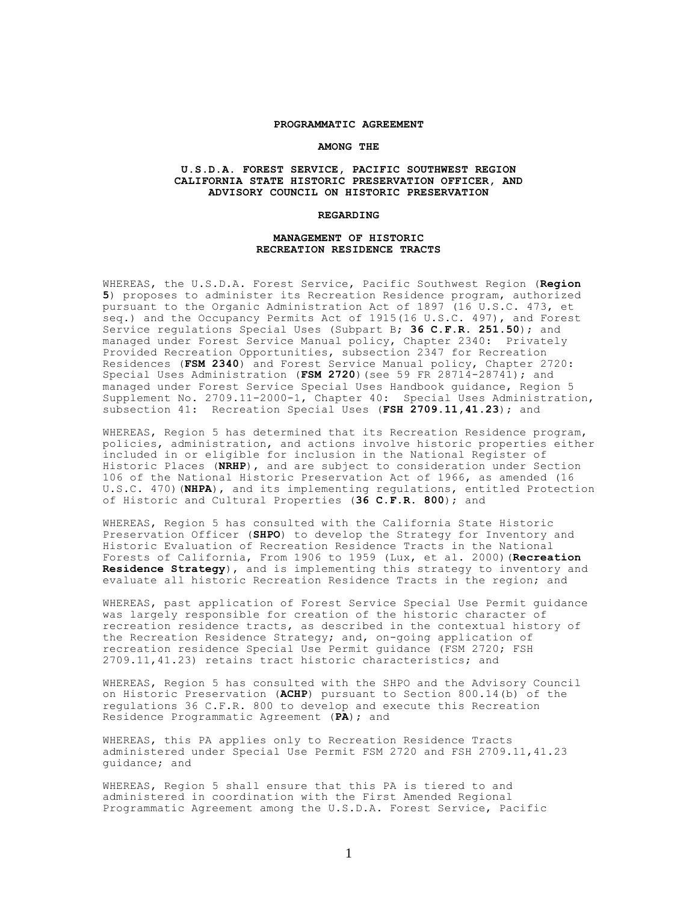#### **PROGRAMMATIC AGREEMENT**

#### **AMONG THE**

### **U.S.D.A. FOREST SERVICE, PACIFIC SOUTHWEST REGION CALIFORNIA STATE HISTORIC PRESERVATION OFFICER, AND ADVISORY COUNCIL ON HISTORIC PRESERVATION**

#### **REGARDING**

### **MANAGEMENT OF HISTORIC RECREATION RESIDENCE TRACTS**

WHEREAS, the U.S.D.A. Forest Service, Pacific Southwest Region (**Region 5**) proposes to administer its Recreation Residence program, authorized pursuant to the Organic Administration Act of 1897 (16 U.S.C. 473, et seq.) and the Occupancy Permits Act of 1915(16 U.S.C. 497), and Forest Service regulations Special Uses (Subpart B; **36 C.F.R. 251.50**); and managed under Forest Service Manual policy, Chapter 2340: Privately Provided Recreation Opportunities, subsection 2347 for Recreation Residences (**FSM 2340**) and Forest Service Manual policy, Chapter 2720: Special Uses Administration (**FSM 2720**)(see 59 FR 28714-28741); and managed under Forest Service Special Uses Handbook guidance, Region 5 Supplement No. 2709.11-2000-1, Chapter 40: Special Uses Administration, subsection 41: Recreation Special Uses (**FSH 2709.11,41.23**); and

WHEREAS, Region 5 has determined that its Recreation Residence program, policies, administration, and actions involve historic properties either included in or eligible for inclusion in the National Register of Historic Places (**NRHP**), and are subject to consideration under Section 106 of the National Historic Preservation Act of 1966, as amended (16 U.S.C. 470)(**NHPA**), and its implementing regulations, entitled Protection of Historic and Cultural Properties (**36 C.F.R. 800**); and

WHEREAS, Region 5 has consulted with the California State Historic Preservation Officer (**SHPO**) to develop the Strategy for Inventory and Historic Evaluation of Recreation Residence Tracts in the National Forests of California, From 1906 to 1959 (Lux, et al. 2000)(**Recreation Residence Strategy**), and is implementing this strategy to inventory and evaluate all historic Recreation Residence Tracts in the region; and

WHEREAS, past application of Forest Service Special Use Permit guidance was largely responsible for creation of the historic character of recreation residence tracts, as described in the contextual history of the Recreation Residence Strategy; and, on-going application of recreation residence Special Use Permit guidance (FSM 2720; FSH 2709.11,41.23) retains tract historic characteristics; and

WHEREAS, Region 5 has consulted with the SHPO and the Advisory Council on Historic Preservation (**ACHP**) pursuant to Section 800.14(b) of the regulations 36 C.F.R. 800 to develop and execute this Recreation Residence Programmatic Agreement (**PA**); and

WHEREAS, this PA applies only to Recreation Residence Tracts administered under Special Use Permit FSM 2720 and FSH 2709.11,41.23 guidance; and

WHEREAS, Region 5 shall ensure that this PA is tiered to and administered in coordination with the First Amended Regional Programmatic Agreement among the U.S.D.A. Forest Service, Pacific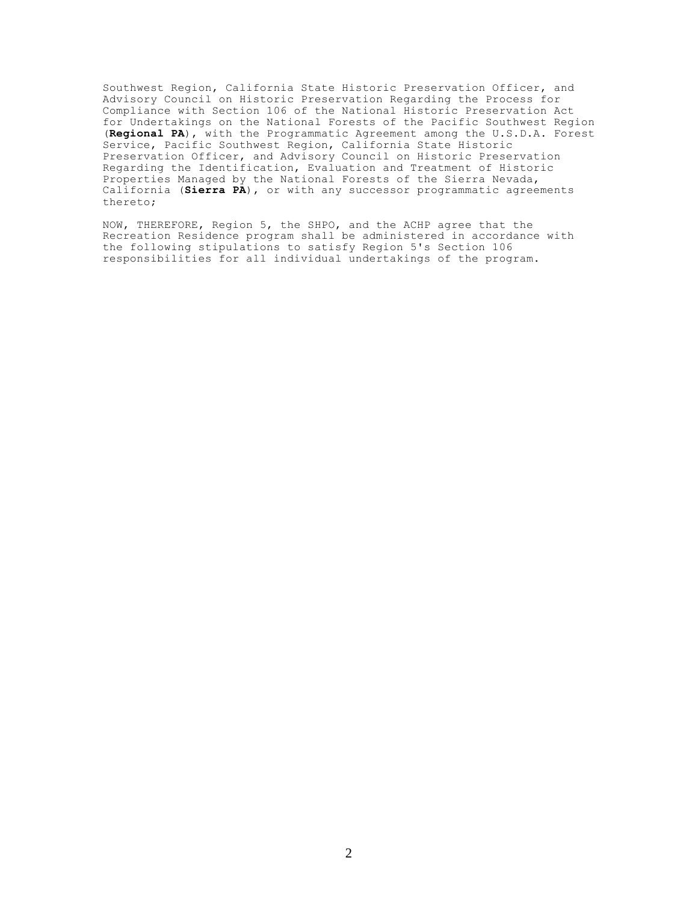Southwest Region, California State Historic Preservation Officer, and Advisory Council on Historic Preservation Regarding the Process for Compliance with Section 106 of the National Historic Preservation Act for Undertakings on the National Forests of the Pacific Southwest Region (**Regional PA**), with the Programmatic Agreement among the U.S.D.A. Forest Service, Pacific Southwest Region, California State Historic Preservation Officer, and Advisory Council on Historic Preservation Regarding the Identification, Evaluation and Treatment of Historic Properties Managed by the National Forests of the Sierra Nevada, California (**Sierra PA**), or with any successor programmatic agreements thereto;

NOW, THEREFORE, Region 5, the SHPO, and the ACHP agree that the Recreation Residence program shall be administered in accordance with the following stipulations to satisfy Region 5's Section 106 responsibilities for all individual undertakings of the program.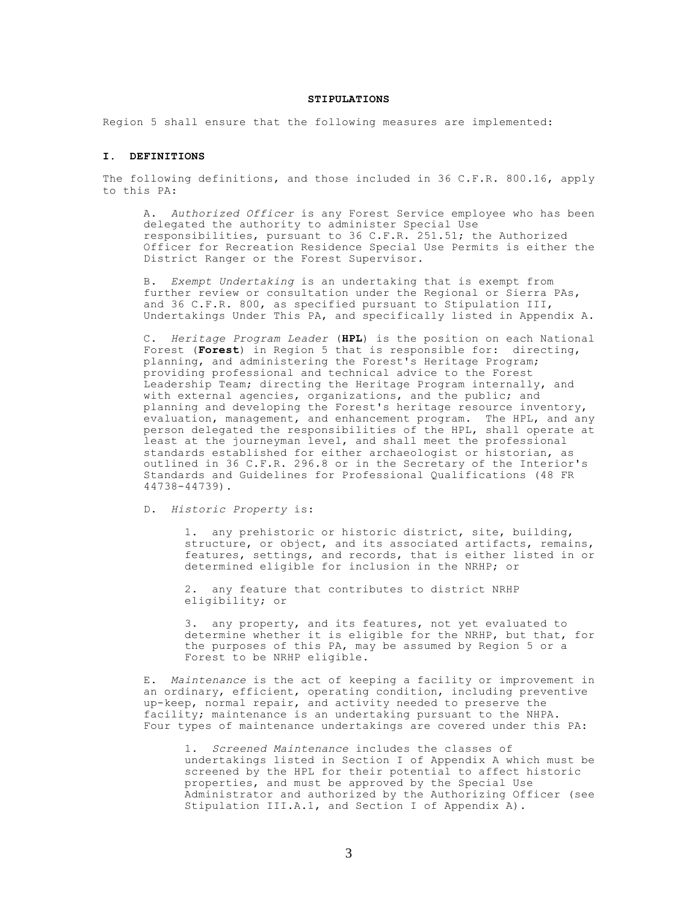#### **STIPULATIONS**

Region 5 shall ensure that the following measures are implemented:

## **I. DEFINITIONS**

The following definitions, and those included in 36 C.F.R. 800*.*16, apply to this PA:

A. *Authorized Officer* is any Forest Service employee who has been delegated the authority to administer Special Use responsibilities, pursuant to 36 C.F.R. 251.51; the Authorized Officer for Recreation Residence Special Use Permits is either the District Ranger or the Forest Supervisor.

B. *Exempt Undertaking* is an undertaking that is exempt from further review or consultation under the Regional or Sierra PAs, and 36 C.F.R. 800, as specified pursuant to Stipulation III, Undertakings Under This PA, and specifically listed in Appendix A.

C. *Heritage Program Leader* (**HPL**) is the position on each National Forest (**Forest**) in Region 5 that is responsible for: directing, planning, and administering the Forest's Heritage Program; providing professional and technical advice to the Forest Leadership Team; directing the Heritage Program internally, and with external agencies, organizations, and the public; and planning and developing the Forest's heritage resource inventory, evaluation, management, and enhancement program. The HPL, and any person delegated the responsibilities of the HPL, shall operate at least at the journeyman level, and shall meet the professional standards established for either archaeologist or historian, as outlined in 36 C.F.R. 296.8 or in the Secretary of the Interior's Standards and Guidelines for Professional Qualifications (48 FR 44738-44739).

D. *Historic Property* is:

1. any prehistoric or historic district, site, building, structure, or object, and its associated artifacts, remains, features, settings, and records, that is either listed in or determined eligible for inclusion in the NRHP; or

2. any feature that contributes to district NRHP eligibility; or

3. any property, and its features, not yet evaluated to determine whether it is eligible for the NRHP, but that, for the purposes of this PA, may be assumed by Region 5 or a Forest to be NRHP eligible.

E. *Maintenance* is the act of keeping a facility or improvement in an ordinary, efficient, operating condition, including preventive up-keep, normal repair, and activity needed to preserve the facility; maintenance is an undertaking pursuant to the NHPA. Four types of maintenance undertakings are covered under this PA:

1. *Screened Maintenance* includes the classes of undertakings listed in Section I of Appendix A which must be screened by the HPL for their potential to affect historic properties, and must be approved by the Special Use Administrator and authorized by the Authorizing Officer (see Stipulation III.A.1, and Section I of Appendix A).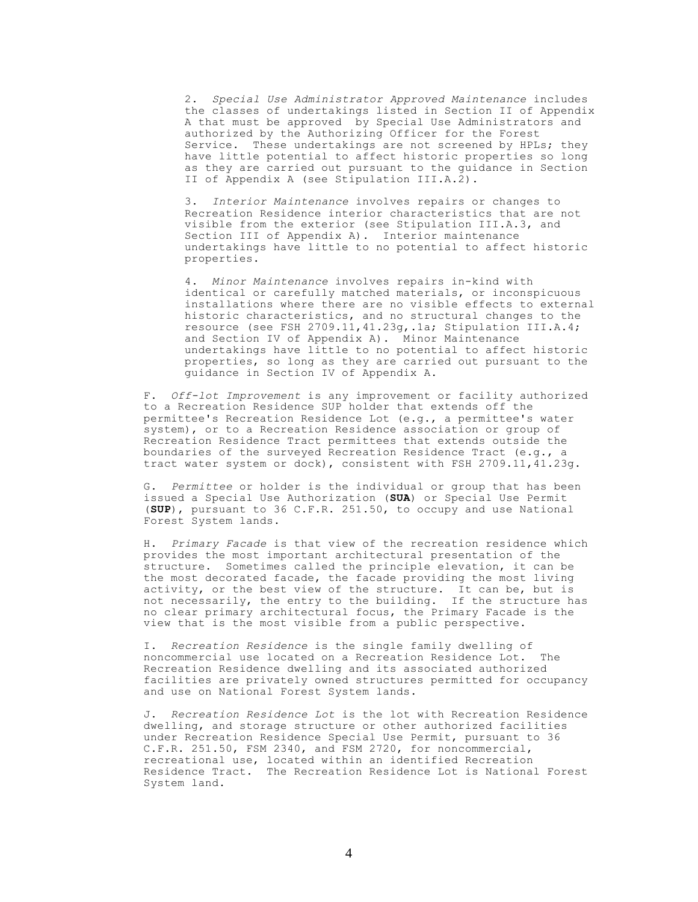2. *Special Use Administrator Approved Maintenance* includes the classes of undertakings listed in Section II of Appendix A that must be approved by Special Use Administrators and authorized by the Authorizing Officer for the Forest Service. These undertakings are not screened by HPLs; they have little potential to affect historic properties so long as they are carried out pursuant to the guidance in Section II of Appendix A (see Stipulation III.A.2).

3. *Interior Maintenance* involves repairs or changes to Recreation Residence interior characteristics that are not visible from the exterior (see Stipulation III.A.3, and Section III of Appendix A). Interior maintenance undertakings have little to no potential to affect historic properties.

4. *Minor Maintenance* involves repairs in-kind with identical or carefully matched materials, or inconspicuous installations where there are no visible effects to external historic characteristics, and no structural changes to the resource (see FSH 2709.11,41.23g,.1a; Stipulation III.A.4; and Section IV of Appendix A). Minor Maintenance undertakings have little to no potential to affect historic properties, so long as they are carried out pursuant to the guidance in Section IV of Appendix A.

F. *Off-lot Improvement* is any improvement or facility authorized to a Recreation Residence SUP holder that extends off the permittee's Recreation Residence Lot (e.g., a permittee's water system), or to a Recreation Residence association or group of Recreation Residence Tract permittees that extends outside the boundaries of the surveyed Recreation Residence Tract (e.g., a tract water system or dock), consistent with FSH 2709.11,41.23g.

G. *Permittee* or holder is the individual or group that has been issued a Special Use Authorization (**SUA**) or Special Use Permit (**SUP**), pursuant to 36 C.F.R. 251.50, to occupy and use National Forest System lands.

H. *Primary Facade* is that view of the recreation residence which provides the most important architectural presentation of the structure. Sometimes called the principle elevation, it can be the most decorated facade, the facade providing the most living activity, or the best view of the structure. It can be, but is not necessarily, the entry to the building. If the structure has no clear primary architectural focus, the Primary Facade is the view that is the most visible from a public perspective.

I. *Recreation Residence* is the single family dwelling of noncommercial use located on a Recreation Residence Lot. The Recreation Residence dwelling and its associated authorized facilities are privately owned structures permitted for occupancy and use on National Forest System lands.

J. *Recreation Residence Lot* is the lot with Recreation Residence dwelling, and storage structure or other authorized facilities under Recreation Residence Special Use Permit, pursuant to 36 C.F.R. 251.50, FSM 2340, and FSM 2720, for noncommercial, recreational use, located within an identified Recreation Residence Tract. The Recreation Residence Lot is National Forest System land.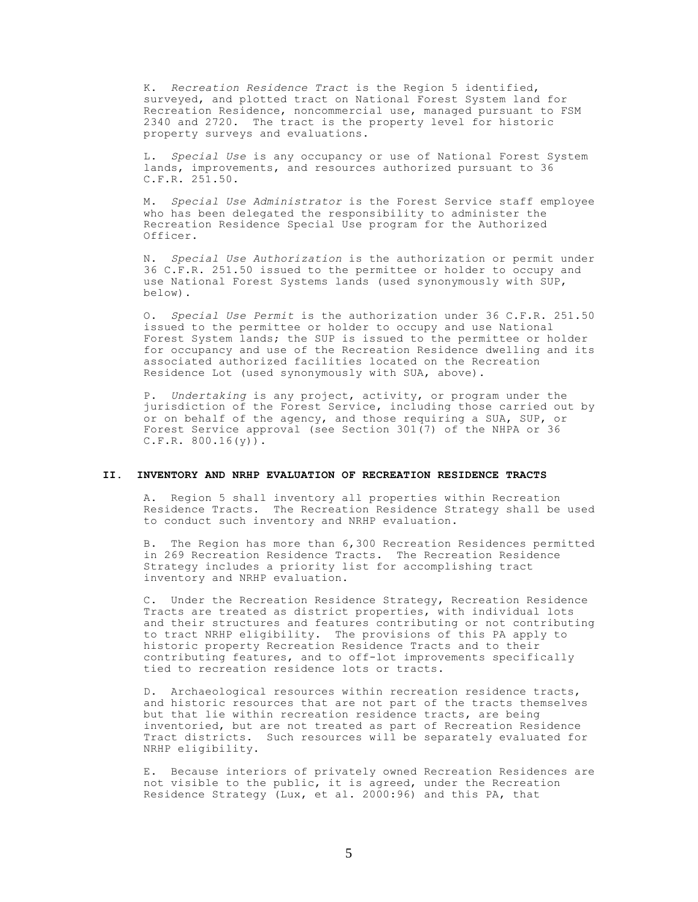K. *Recreation Residence Tract* is the Region 5 identified, surveyed, and plotted tract on National Forest System land for Recreation Residence, noncommercial use, managed pursuant to FSM 2340 and 2720. The tract is the property level for historic property surveys and evaluations.

L. *Special Use* is any occupancy or use of National Forest System lands, improvements, and resources authorized pursuant to 36 C.F.R. 251.50.

M. *Special Use Administrator* is the Forest Service staff employee who has been delegated the responsibility to administer the Recreation Residence Special Use program for the Authorized Officer.

N. *Special Use Authorization* is the authorization or permit under 36 C.F.R. 251.50 issued to the permittee or holder to occupy and use National Forest Systems lands (used synonymously with SUP, below).

O. *Special Use Permit* is the authorization under 36 C.F.R. 251.50 issued to the permittee or holder to occupy and use National Forest System lands; the SUP is issued to the permittee or holder for occupancy and use of the Recreation Residence dwelling and its associated authorized facilities located on the Recreation Residence Lot (used synonymously with SUA, above).

P. *Undertaking* is any project, activity, or program under the jurisdiction of the Forest Service, including those carried out by or on behalf of the agency, and those requiring a SUA, SUP, or Forest Service approval (see Section 301(7) of the NHPA or 36  $C.F.R. 800.16(y)$ .

### **II. INVENTORY AND NRHP EVALUATION OF RECREATION RESIDENCE TRACTS**

A. Region 5 shall inventory all properties within Recreation Residence Tracts. The Recreation Residence Strategy shall be used to conduct such inventory and NRHP evaluation.

B. The Region has more than 6,300 Recreation Residences permitted in 269 Recreation Residence Tracts. The Recreation Residence Strategy includes a priority list for accomplishing tract inventory and NRHP evaluation.

C. Under the Recreation Residence Strategy, Recreation Residence Tracts are treated as district properties, with individual lots and their structures and features contributing or not contributing to tract NRHP eligibility. The provisions of this PA apply to historic property Recreation Residence Tracts and to their contributing features, and to off-lot improvements specifically tied to recreation residence lots or tracts.

D. Archaeological resources within recreation residence tracts, and historic resources that are not part of the tracts themselves but that lie within recreation residence tracts, are being inventoried, but are not treated as part of Recreation Residence Tract districts. Such resources will be separately evaluated for NRHP eligibility.

E. Because interiors of privately owned Recreation Residences are not visible to the public, it is agreed, under the Recreation Residence Strategy (Lux, et al. 2000:96) and this PA, that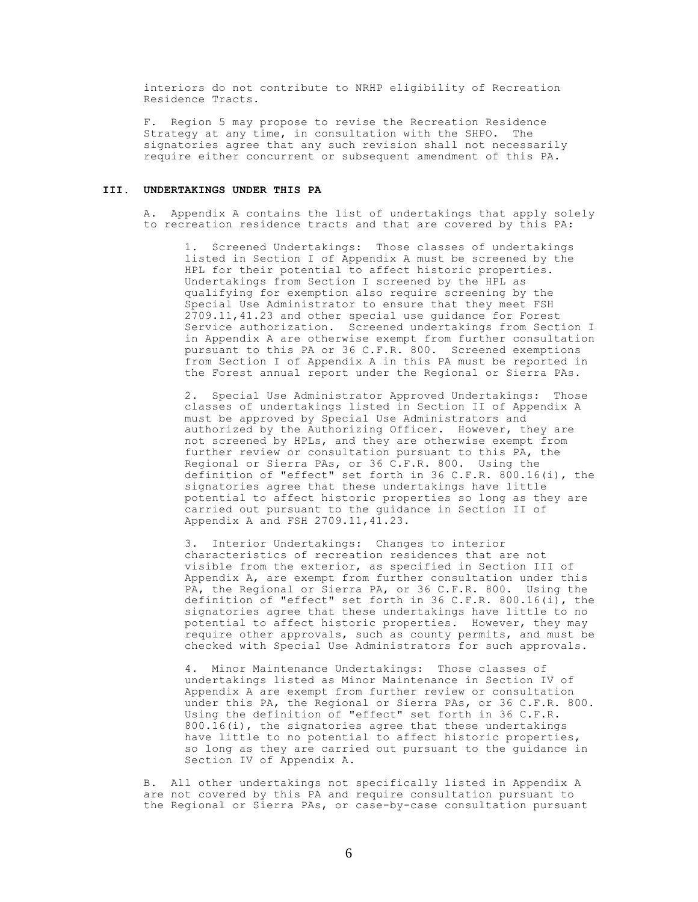interiors do not contribute to NRHP eligibility of Recreation Residence Tracts.

F. Region 5 may propose to revise the Recreation Residence Strategy at any time, in consultation with the SHPO. The signatories agree that any such revision shall not necessarily require either concurrent or subsequent amendment of this PA.

### **III. UNDERTAKINGS UNDER THIS PA**

A. Appendix A contains the list of undertakings that apply solely to recreation residence tracts and that are covered by this PA:

1. Screened Undertakings: Those classes of undertakings listed in Section I of Appendix A must be screened by the HPL for their potential to affect historic properties. Undertakings from Section I screened by the HPL as qualifying for exemption also require screening by the Special Use Administrator to ensure that they meet FSH 2709.11,41.23 and other special use guidance for Forest Service authorization. Screened undertakings from Section I in Appendix A are otherwise exempt from further consultation pursuant to this PA or 36 C.F.R. 800. Screened exemptions from Section I of Appendix A in this PA must be reported in the Forest annual report under the Regional or Sierra PAs.

2. Special Use Administrator Approved Undertakings: Those classes of undertakings listed in Section II of Appendix A must be approved by Special Use Administrators and authorized by the Authorizing Officer. However, they are not screened by HPLs, and they are otherwise exempt from further review or consultation pursuant to this PA, the Regional or Sierra PAs, or 36 C.F.R. 800. Using the definition of "effect" set forth in 36 C.F.R. 800.16(i), the signatories agree that these undertakings have little potential to affect historic properties so long as they are carried out pursuant to the guidance in Section II of Appendix A and FSH 2709.11,41.23.

3. Interior Undertakings: Changes to interior characteristics of recreation residences that are not visible from the exterior, as specified in Section III of Appendix A, are exempt from further consultation under this PA, the Regional or Sierra PA, or 36 C.F.R. 800. Using the definition of "effect" set forth in 36 C.F.R. 800.16(i), the signatories agree that these undertakings have little to no potential to affect historic properties. However, they may require other approvals, such as county permits, and must be checked with Special Use Administrators for such approvals.

4. Minor Maintenance Undertakings: Those classes of undertakings listed as Minor Maintenance in Section IV of Appendix A are exempt from further review or consultation under this PA, the Regional or Sierra PAs, or 36 C.F.R. 800. Using the definition of "effect" set forth in 36 C.F.R. 800.16(i), the signatories agree that these undertakings have little to no potential to affect historic properties, so long as they are carried out pursuant to the guidance in Section IV of Appendix A.

B. All other undertakings not specifically listed in Appendix A are not covered by this PA and require consultation pursuant to the Regional or Sierra PAs, or case-by-case consultation pursuant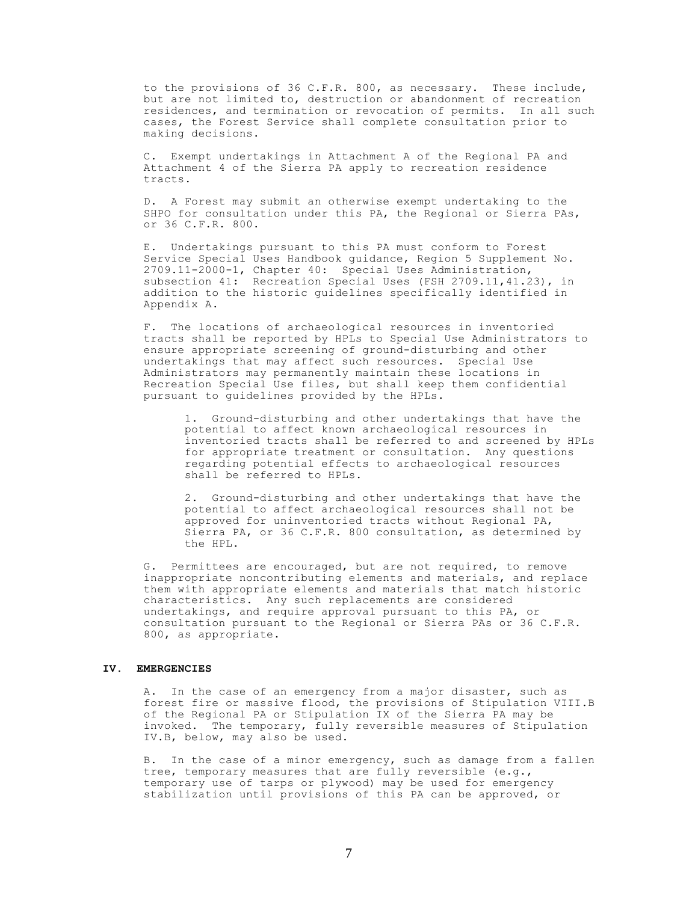to the provisions of 36 C.F.R. 800, as necessary. These include, but are not limited to, destruction or abandonment of recreation residences, and termination or revocation of permits. In all such cases, the Forest Service shall complete consultation prior to making decisions.

C. Exempt undertakings in Attachment A of the Regional PA and Attachment 4 of the Sierra PA apply to recreation residence tracts.

D. A Forest may submit an otherwise exempt undertaking to the SHPO for consultation under this PA, the Regional or Sierra PAs, or 36 C.F.R. 800.

E. Undertakings pursuant to this PA must conform to Forest Service Special Uses Handbook guidance, Region 5 Supplement No. 2709.11-2000-1, Chapter 40: Special Uses Administration, subsection 41: Recreation Special Uses (FSH 2709.11, 41.23), in addition to the historic guidelines specifically identified in Appendix A.

F. The locations of archaeological resources in inventoried tracts shall be reported by HPLs to Special Use Administrators to ensure appropriate screening of ground-disturbing and other undertakings that may affect such resources. Special Use Administrators may permanently maintain these locations in Recreation Special Use files, but shall keep them confidential pursuant to guidelines provided by the HPLs.

1. Ground-disturbing and other undertakings that have the potential to affect known archaeological resources in inventoried tracts shall be referred to and screened by HPLs for appropriate treatment or consultation. Any questions regarding potential effects to archaeological resources shall be referred to HPLs.

2. Ground-disturbing and other undertakings that have the potential to affect archaeological resources shall not be approved for uninventoried tracts without Regional PA, Sierra PA, or 36 C.F.R. 800 consultation, as determined by the HPL.

G. Permittees are encouraged, but are not required, to remove inappropriate noncontributing elements and materials, and replace them with appropriate elements and materials that match historic characteristics. Any such replacements are considered undertakings, and require approval pursuant to this PA, or consultation pursuant to the Regional or Sierra PAs or 36 C.F.R. 800, as appropriate.

### **IV. EMERGENCIES**

A. In the case of an emergency from a major disaster, such as forest fire or massive flood, the provisions of Stipulation VIII.B of the Regional PA or Stipulation IX of the Sierra PA may be invoked. The temporary, fully reversible measures of Stipulation IV.B, below, may also be used.

B. In the case of a minor emergency, such as damage from a fallen tree, temporary measures that are fully reversible (e.g., temporary use of tarps or plywood) may be used for emergency stabilization until provisions of this PA can be approved, or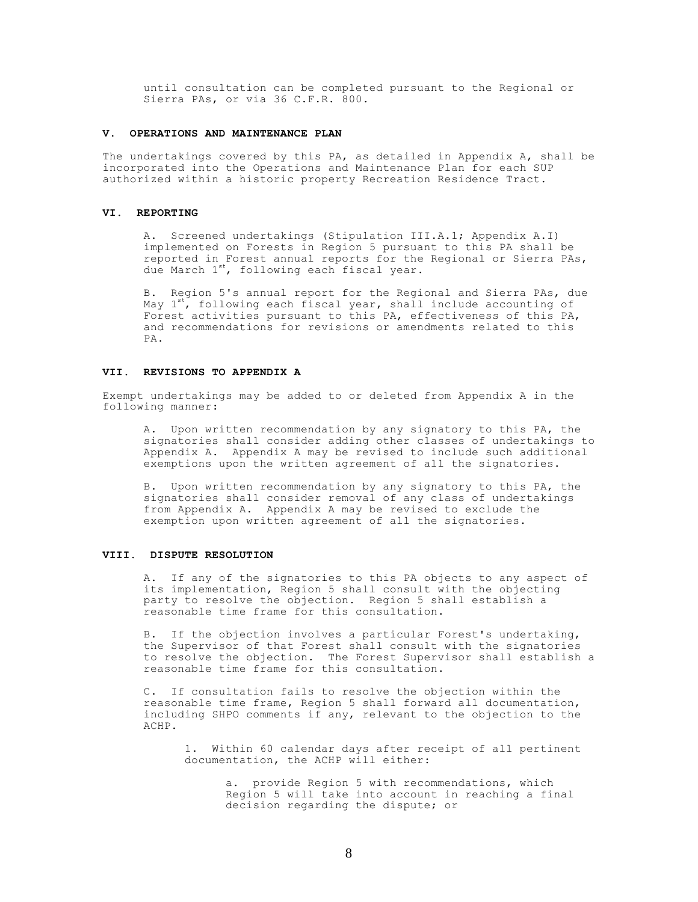until consultation can be completed pursuant to the Regional or Sierra PAs, or via 36 C.F.R. 800.

### **V. OPERATIONS AND MAINTENANCE PLAN**

The undertakings covered by this PA, as detailed in Appendix A, shall be incorporated into the Operations and Maintenance Plan for each SUP authorized within a historic property Recreation Residence Tract.

#### **VI. REPORTING**

A. Screened undertakings (Stipulation III.A.1; Appendix A.I) implemented on Forests in Region 5 pursuant to this PA shall be reported in Forest annual reports for the Regional or Sierra PAs, due March 1<sup>st</sup>, following each fiscal year.

B. Region 5's annual report for the Regional and Sierra PAs, due May  $1^{st}$ , following each fiscal year, shall include accounting of Forest activities pursuant to this PA, effectiveness of this PA, and recommendations for revisions or amendments related to this PA.

### **VII. REVISIONS TO APPENDIX A**

Exempt undertakings may be added to or deleted from Appendix A in the following manner:

A. Upon written recommendation by any signatory to this PA, the signatories shall consider adding other classes of undertakings to Appendix A. Appendix A may be revised to include such additional exemptions upon the written agreement of all the signatories.

B. Upon written recommendation by any signatory to this PA, the signatories shall consider removal of any class of undertakings from Appendix A. Appendix A may be revised to exclude the exemption upon written agreement of all the signatories.

#### **VIII. DISPUTE RESOLUTION**

A. If any of the signatories to this PA objects to any aspect of its implementation, Region 5 shall consult with the objecting party to resolve the objection. Region 5 shall establish a reasonable time frame for this consultation.

B. If the objection involves a particular Forest's undertaking, the Supervisor of that Forest shall consult with the signatories to resolve the objection. The Forest Supervisor shall establish a reasonable time frame for this consultation.

C. If consultation fails to resolve the objection within the reasonable time frame, Region 5 shall forward all documentation, including SHPO comments if any, relevant to the objection to the ACHP.

1. Within 60 calendar days after receipt of all pertinent documentation, the ACHP will either:

> a. provide Region 5 with recommendations, which Region 5 will take into account in reaching a final decision regarding the dispute; or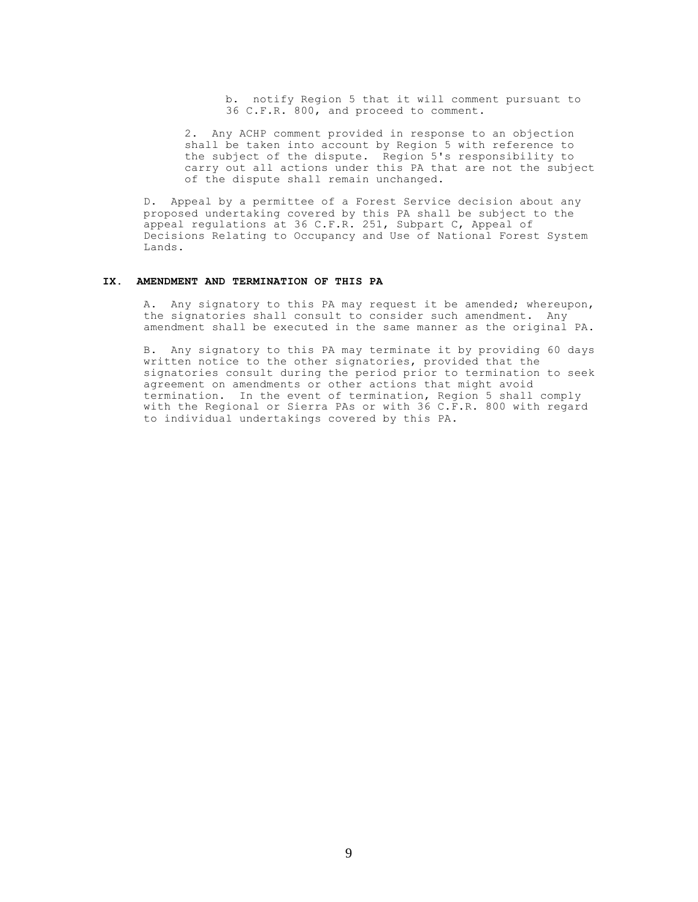b. notify Region 5 that it will comment pursuant to 36 C.F.R. 800, and proceed to comment.

2. Any ACHP comment provided in response to an objection shall be taken into account by Region 5 with reference to the subject of the dispute. Region 5's responsibility to carry out all actions under this PA that are not the subject of the dispute shall remain unchanged.

D. Appeal by a permittee of a Forest Service decision about any proposed undertaking covered by this PA shall be subject to the appeal regulations at 36 C.F.R. 251, Subpart C, Appeal of Decisions Relating to Occupancy and Use of National Forest System Lands.

## **IX. AMENDMENT AND TERMINATION OF THIS PA**

A. Any signatory to this PA may request it be amended; whereupon, the signatories shall consult to consider such amendment. Any amendment shall be executed in the same manner as the original PA.

B. Any signatory to this PA may terminate it by providing 60 days written notice to the other signatories, provided that the signatories consult during the period prior to termination to seek agreement on amendments or other actions that might avoid termination. In the event of termination, Region 5 shall comply with the Regional or Sierra PAs or with 36 C.F.R. 800 with regard to individual undertakings covered by this PA.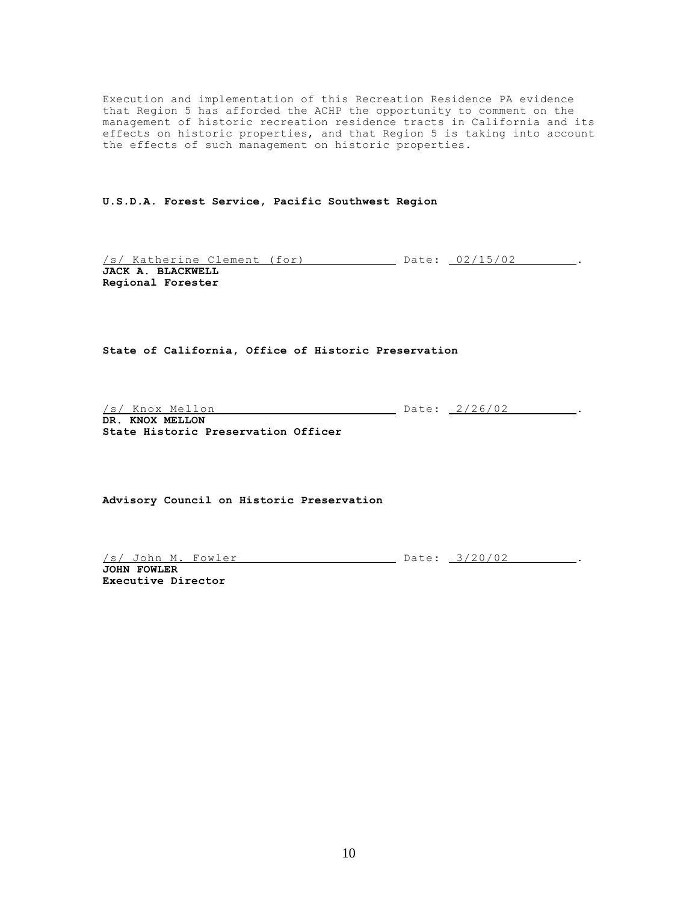Execution and implementation of this Recreation Residence PA evidence that Region 5 has afforded the ACHP the opportunity to comment on the management of historic recreation residence tracts in California and its effects on historic properties, and that Region 5 is taking into account the effects of such management on historic properties.

**U.S.D.A. Forest Service, Pacific Southwest Region**

/s/ Katherine Clement (for) Date: 02/15/02 . **JACK A. BLACKWELL Regional Forester**

**State of California, Office of Historic Preservation**

/s/ Knox Mellon Date: 2/26/02 ...

**DR. KNOX MELLON State Historic Preservation Officer**

**Advisory Council on Historic Preservation**

/s/ John M. Fowler Date: 3/20/02 .

**JOHN FOWLER Executive Director**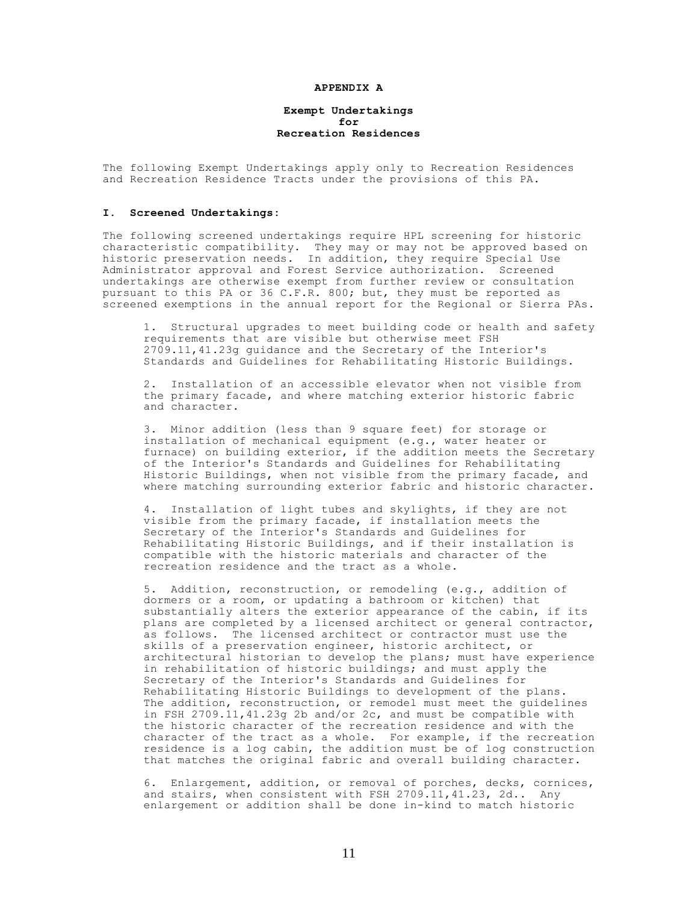#### **APPENDIX A**

### **Exempt Undertakings for Recreation Residences**

The following Exempt Undertakings apply only to Recreation Residences and Recreation Residence Tracts under the provisions of this PA.

### **I. Screened Undertakings:**

The following screened undertakings require HPL screening for historic characteristic compatibility. They may or may not be approved based on historic preservation needs. In addition, they require Special Use Administrator approval and Forest Service authorization. Screened undertakings are otherwise exempt from further review or consultation pursuant to this PA or 36 C.F.R. 800; but, they must be reported as screened exemptions in the annual report for the Regional or Sierra PAs.

1. Structural upgrades to meet building code or health and safety requirements that are visible but otherwise meet FSH 2709.11,41.23g guidance and the Secretary of the Interior's Standards and Guidelines for Rehabilitating Historic Buildings.

2. Installation of an accessible elevator when not visible from the primary facade, and where matching exterior historic fabric and character.

3. Minor addition (less than 9 square feet) for storage or installation of mechanical equipment (e.g., water heater or furnace) on building exterior, if the addition meets the Secretary of the Interior's Standards and Guidelines for Rehabilitating Historic Buildings, when not visible from the primary facade, and where matching surrounding exterior fabric and historic character.

4. Installation of light tubes and skylights, if they are not visible from the primary facade, if installation meets the Secretary of the Interior's Standards and Guidelines for Rehabilitating Historic Buildings, and if their installation is compatible with the historic materials and character of the recreation residence and the tract as a whole.

5. Addition, reconstruction, or remodeling (e.g., addition of dormers or a room, or updating a bathroom or kitchen) that substantially alters the exterior appearance of the cabin, if its plans are completed by a licensed architect or general contractor, as follows. The licensed architect or contractor must use the skills of a preservation engineer, historic architect, or architectural historian to develop the plans; must have experience in rehabilitation of historic buildings; and must apply the Secretary of the Interior's Standards and Guidelines for Rehabilitating Historic Buildings to development of the plans. The addition, reconstruction, or remodel must meet the guidelines in FSH 2709.11,41.23g 2b and/or 2c, and must be compatible with the historic character of the recreation residence and with the character of the tract as a whole. For example, if the recreation residence is a log cabin, the addition must be of log construction that matches the original fabric and overall building character.

6. Enlargement, addition, or removal of porches, decks, cornices, and stairs, when consistent with FSH 2709.11,41.23, 2d.. Any enlargement or addition shall be done in-kind to match historic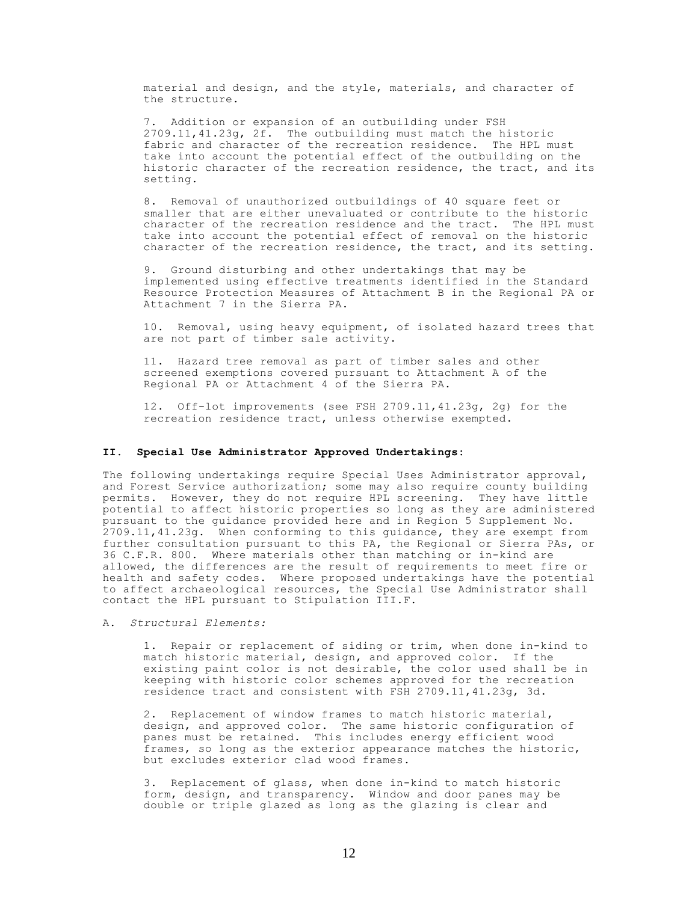material and design, and the style, materials, and character of the structure.

7. Addition or expansion of an outbuilding under FSH 2709.11,41.23g, 2f. The outbuilding must match the historic fabric and character of the recreation residence. The HPL must take into account the potential effect of the outbuilding on the historic character of the recreation residence, the tract, and its setting.

8. Removal of unauthorized outbuildings of 40 square feet or smaller that are either unevaluated or contribute to the historic character of the recreation residence and the tract. The HPL must take into account the potential effect of removal on the historic character of the recreation residence, the tract, and its setting.

9. Ground disturbing and other undertakings that may be implemented using effective treatments identified in the Standard Resource Protection Measures of Attachment B in the Regional PA or Attachment 7 in the Sierra PA.

10. Removal, using heavy equipment, of isolated hazard trees that are not part of timber sale activity.

11. Hazard tree removal as part of timber sales and other screened exemptions covered pursuant to Attachment A of the Regional PA or Attachment 4 of the Sierra PA.

12. Off-lot improvements (see FSH 2709.11,41.23g, 2g) for the recreation residence tract, unless otherwise exempted.

### **II. Special Use Administrator Approved Undertakings:**

The following undertakings require Special Uses Administrator approval, and Forest Service authorization; some may also require county building permits. However, they do not require HPL screening. They have little potential to affect historic properties so long as they are administered pursuant to the guidance provided here and in Region 5 Supplement No. 2709.11,41.23g. When conforming to this guidance, they are exempt from further consultation pursuant to this PA, the Regional or Sierra PAs, or 36 C.F.R. 800. Where materials other than matching or in-kind are allowed, the differences are the result of requirements to meet fire or health and safety codes. Where proposed undertakings have the potential to affect archaeological resources, the Special Use Administrator shall contact the HPL pursuant to Stipulation III.F.

A. *Structural Elements:*

1. Repair or replacement of siding or trim, when done in-kind to match historic material, design, and approved color. If the existing paint color is not desirable, the color used shall be in keeping with historic color schemes approved for the recreation residence tract and consistent with FSH 2709.11,41.23g, 3d.

2. Replacement of window frames to match historic material, design, and approved color. The same historic configuration of panes must be retained. This includes energy efficient wood frames, so long as the exterior appearance matches the historic, but excludes exterior clad wood frames.

3. Replacement of glass, when done in-kind to match historic form, design, and transparency. Window and door panes may be double or triple glazed as long as the glazing is clear and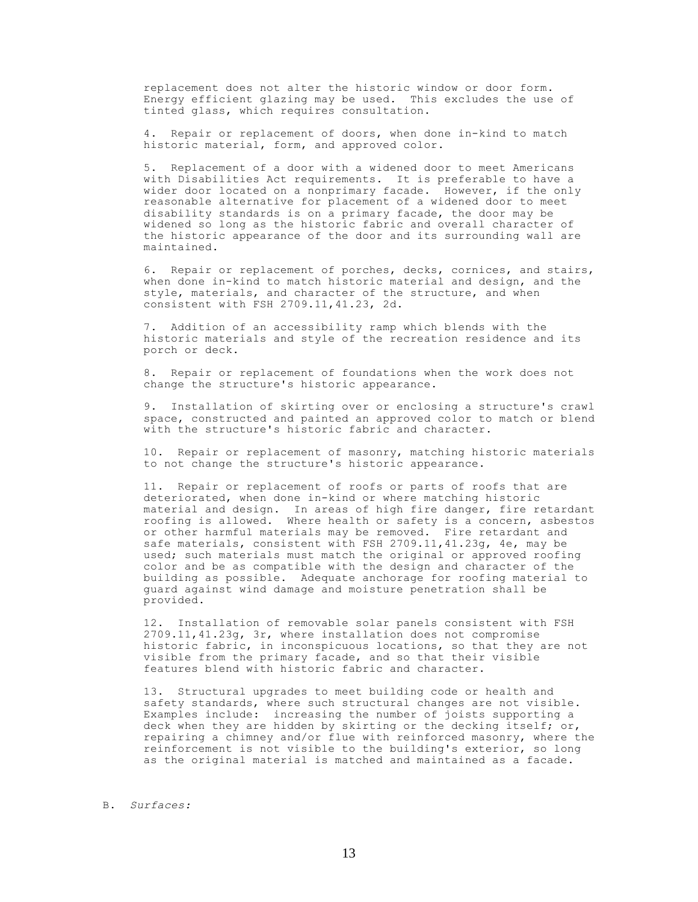replacement does not alter the historic window or door form. Energy efficient glazing may be used. This excludes the use of tinted glass, which requires consultation.

4. Repair or replacement of doors, when done in-kind to match historic material, form, and approved color.

5. Replacement of a door with a widened door to meet Americans with Disabilities Act requirements. It is preferable to have a wider door located on a nonprimary facade. However, if the only reasonable alternative for placement of a widened door to meet disability standards is on a primary facade, the door may be widened so long as the historic fabric and overall character of the historic appearance of the door and its surrounding wall are maintained.

6. Repair or replacement of porches, decks, cornices, and stairs, when done in-kind to match historic material and design, and the style, materials, and character of the structure, and when consistent with FSH 2709.11,41.23, 2d.

7. Addition of an accessibility ramp which blends with the historic materials and style of the recreation residence and its porch or deck.

8. Repair or replacement of foundations when the work does not change the structure's historic appearance.

9. Installation of skirting over or enclosing a structure's crawl space, constructed and painted an approved color to match or blend with the structure's historic fabric and character.

10. Repair or replacement of masonry, matching historic materials to not change the structure's historic appearance.

11. Repair or replacement of roofs or parts of roofs that are deteriorated, when done in-kind or where matching historic material and design. In areas of high fire danger, fire retardant roofing is allowed. Where health or safety is a concern, asbestos or other harmful materials may be removed. Fire retardant and safe materials, consistent with FSH 2709.11,41.23g, 4e, may be used; such materials must match the original or approved roofing color and be as compatible with the design and character of the building as possible. Adequate anchorage for roofing material to guard against wind damage and moisture penetration shall be provided.

12. Installation of removable solar panels consistent with FSH 2709.11,41.23g, 3r, where installation does not compromise historic fabric, in inconspicuous locations, so that they are not visible from the primary facade, and so that their visible features blend with historic fabric and character.

13. Structural upgrades to meet building code or health and safety standards, where such structural changes are not visible. Examples include: increasing the number of joists supporting a deck when they are hidden by skirting or the decking itself; or, repairing a chimney and/or flue with reinforced masonry, where the reinforcement is not visible to the building's exterior, so long as the original material is matched and maintained as a facade.

### B. *Surfaces:*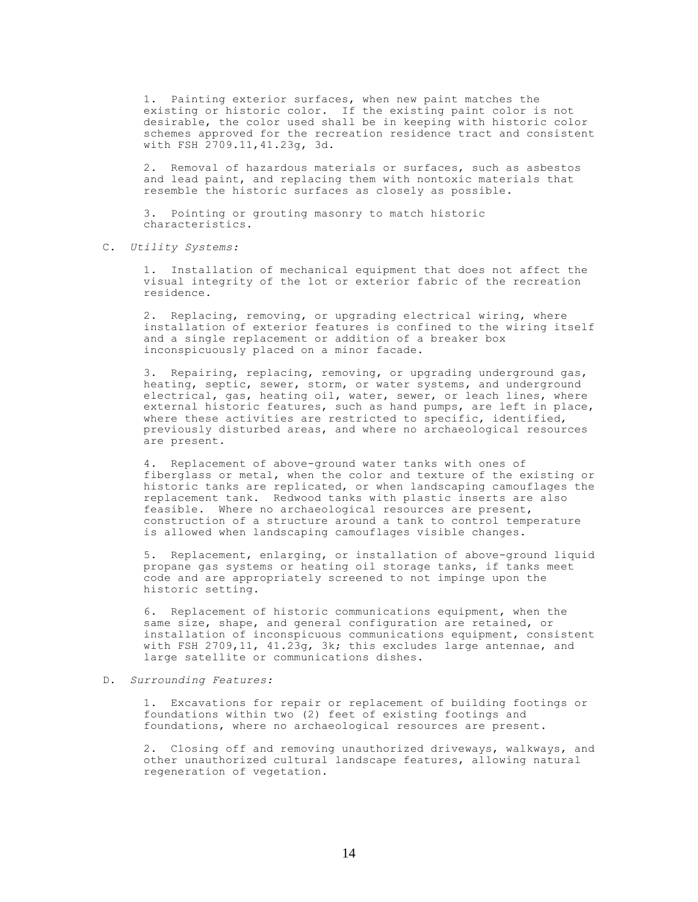1. Painting exterior surfaces, when new paint matches the existing or historic color. If the existing paint color is not desirable, the color used shall be in keeping with historic color schemes approved for the recreation residence tract and consistent with FSH 2709.11,41.23g, 3d.

2. Removal of hazardous materials or surfaces, such as asbestos and lead paint, and replacing them with nontoxic materials that resemble the historic surfaces as closely as possible.

3. Pointing or grouting masonry to match historic characteristics.

C. *Utility Systems:*

1. Installation of mechanical equipment that does not affect the visual integrity of the lot or exterior fabric of the recreation residence.

2. Replacing, removing, or upgrading electrical wiring, where installation of exterior features is confined to the wiring itself and a single replacement or addition of a breaker box inconspicuously placed on a minor facade.

3. Repairing, replacing, removing, or upgrading underground gas, heating, septic, sewer, storm, or water systems, and underground electrical, gas, heating oil, water, sewer, or leach lines, where external historic features, such as hand pumps, are left in place, where these activities are restricted to specific, identified, previously disturbed areas, and where no archaeological resources are present.

4. Replacement of above-ground water tanks with ones of fiberglass or metal, when the color and texture of the existing or historic tanks are replicated, or when landscaping camouflages the replacement tank. Redwood tanks with plastic inserts are also feasible. Where no archaeological resources are present, construction of a structure around a tank to control temperature is allowed when landscaping camouflages visible changes.

5. Replacement, enlarging, or installation of above-ground liquid propane gas systems or heating oil storage tanks, if tanks meet code and are appropriately screened to not impinge upon the historic setting.

6. Replacement of historic communications equipment, when the same size, shape, and general configuration are retained, or installation of inconspicuous communications equipment, consistent with FSH 2709,11, 41.23g, 3k; this excludes large antennae, and large satellite or communications dishes.

### D. *Surrounding Features:*

1. Excavations for repair or replacement of building footings or foundations within two (2) feet of existing footings and foundations, where no archaeological resources are present.

2. Closing off and removing unauthorized driveways, walkways, and other unauthorized cultural landscape features, allowing natural regeneration of vegetation.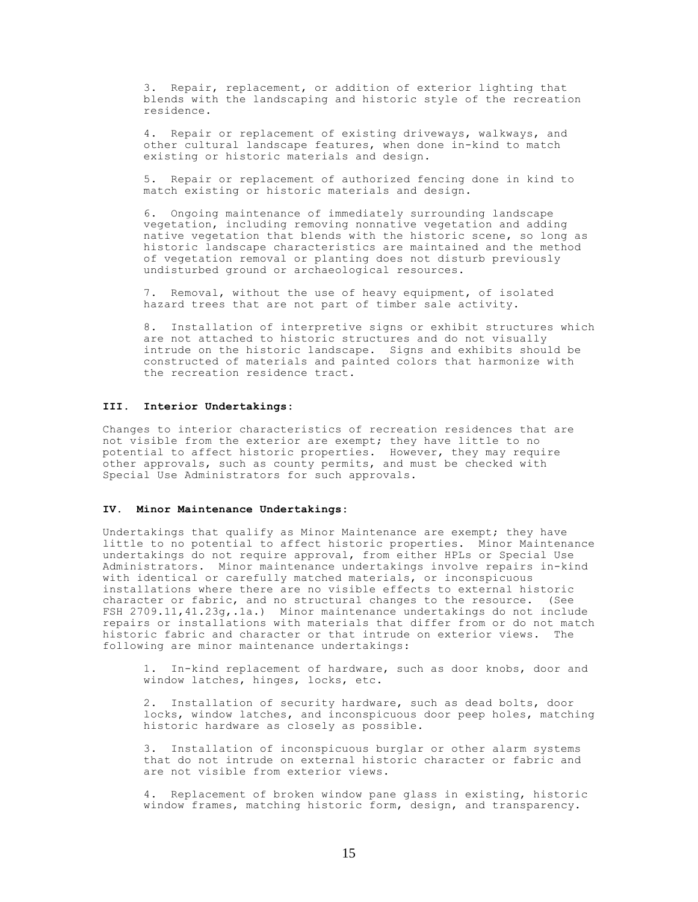3. Repair, replacement, or addition of exterior lighting that blends with the landscaping and historic style of the recreation residence.

4. Repair or replacement of existing driveways, walkways, and other cultural landscape features, when done in-kind to match existing or historic materials and design.

5. Repair or replacement of authorized fencing done in kind to match existing or historic materials and design.

6. Ongoing maintenance of immediately surrounding landscape vegetation, including removing nonnative vegetation and adding native vegetation that blends with the historic scene, so long as historic landscape characteristics are maintained and the method of vegetation removal or planting does not disturb previously undisturbed ground or archaeological resources.

7. Removal, without the use of heavy equipment, of isolated hazard trees that are not part of timber sale activity.

8. Installation of interpretive signs or exhibit structures which are not attached to historic structures and do not visually intrude on the historic landscape. Signs and exhibits should be constructed of materials and painted colors that harmonize with the recreation residence tract.

# **III. Interior Undertakings:**

Changes to interior characteristics of recreation residences that are not visible from the exterior are exempt; they have little to no potential to affect historic properties. However, they may require other approvals, such as county permits, and must be checked with Special Use Administrators for such approvals.

### **IV. Minor Maintenance Undertakings:**

Undertakings that qualify as Minor Maintenance are exempt; they have little to no potential to affect historic properties. Minor Maintenance undertakings do not require approval, from either HPLs or Special Use Administrators. Minor maintenance undertakings involve repairs in-kind with identical or carefully matched materials, or inconspicuous installations where there are no visible effects to external historic character or fabric, and no structural changes to the resource. (See FSH 2709.11,41.23g,.1a.) Minor maintenance undertakings do not include repairs or installations with materials that differ from or do not match historic fabric and character or that intrude on exterior views. following are minor maintenance undertakings:

1. In-kind replacement of hardware, such as door knobs, door and window latches, hinges, locks, etc.

2. Installation of security hardware, such as dead bolts, door locks, window latches, and inconspicuous door peep holes, matching historic hardware as closely as possible.

3. Installation of inconspicuous burglar or other alarm systems that do not intrude on external historic character or fabric and are not visible from exterior views.

4. Replacement of broken window pane glass in existing, historic window frames, matching historic form, design, and transparency.